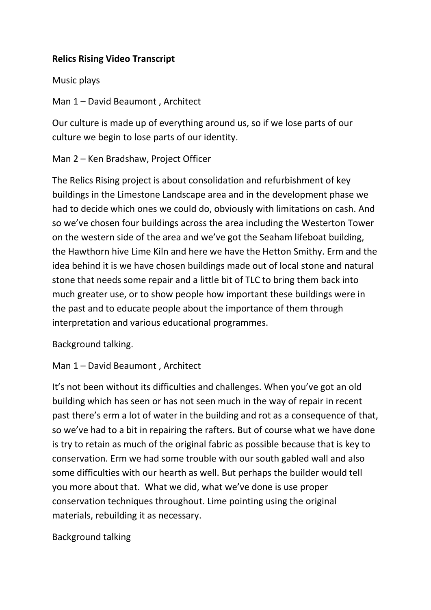## **Relics Rising Video Transcript**

### Music plays

Man 1 – David Beaumont , Architect

Our culture is made up of everything around us, so if we lose parts of our culture we begin to lose parts of our identity.

Man 2 – Ken Bradshaw, Project Officer

The Relics Rising project is about consolidation and refurbishment of key buildings in the Limestone Landscape area and in the development phase we had to decide which ones we could do, obviously with limitations on cash. And so we've chosen four buildings across the area including the Westerton Tower on the western side of the area and we've got the Seaham lifeboat building, the Hawthorn hive Lime Kiln and here we have the Hetton Smithy. Erm and the idea behind it is we have chosen buildings made out of local stone and natural stone that needs some repair and a little bit of TLC to bring them back into much greater use, or to show people how important these buildings were in the past and to educate people about the importance of them through interpretation and various educational programmes.

Background talking.

Man 1 – David Beaumont , Architect

It's not been without its difficulties and challenges. When you've got an old building which has seen or has not seen much in the way of repair in recent past there's erm a lot of water in the building and rot as a consequence of that, so we've had to a bit in repairing the rafters. But of course what we have done is try to retain as much of the original fabric as possible because that is key to conservation. Erm we had some trouble with our south gabled wall and also some difficulties with our hearth as well. But perhaps the builder would tell you more about that. What we did, what we've done is use proper conservation techniques throughout. Lime pointing using the original materials, rebuilding it as necessary.

# Background talking